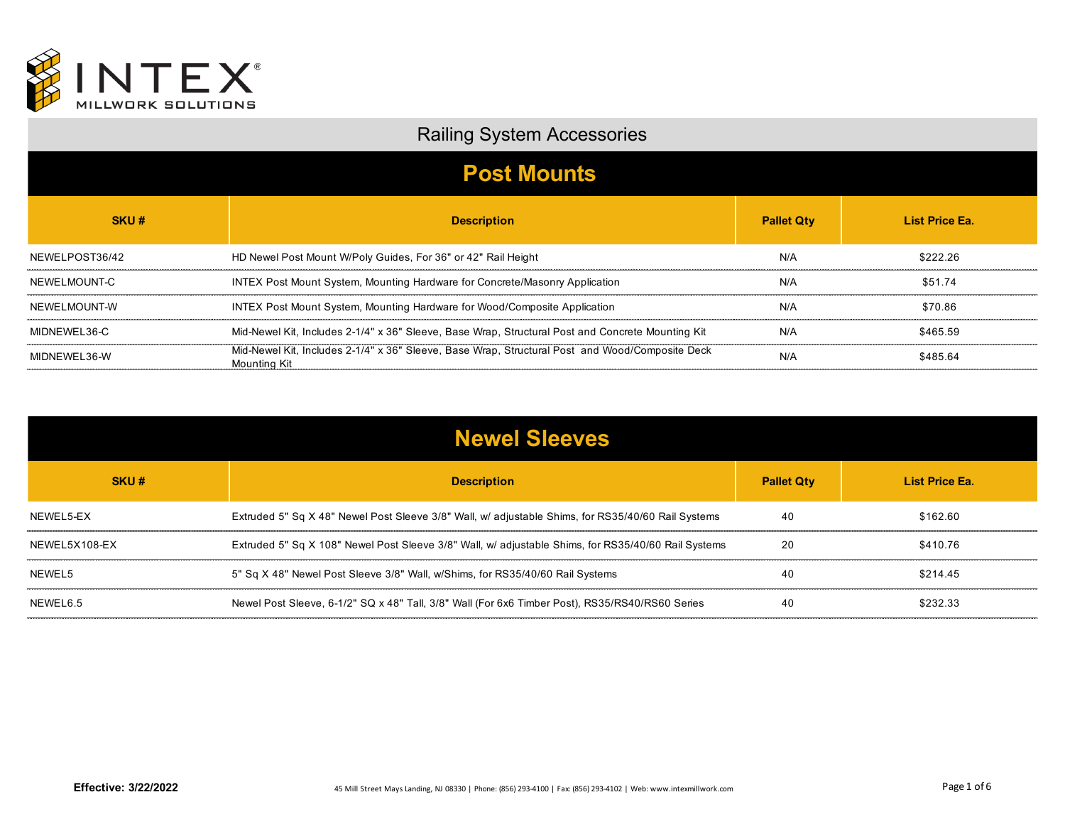

## Railing System Accessories

| <b>Post Mounts</b> |                                                                                                                        |                   |                       |
|--------------------|------------------------------------------------------------------------------------------------------------------------|-------------------|-----------------------|
| SKU#               | <b>Description</b>                                                                                                     | <b>Pallet Qtv</b> | <b>List Price Ea.</b> |
| NEWELPOST36/42     | HD Newel Post Mount W/Poly Guides, For 36" or 42" Rail Height                                                          | N/A               | \$222.26              |
| NEWELMOUNT-C       | INTEX Post Mount System, Mounting Hardware for Concrete/Masonry Application                                            | N/A               | \$51.74               |
| NEWELMOUNT-W       | INTEX Post Mount System, Mounting Hardware for Wood/Composite Application                                              | N/A               | \$70.86               |
| MIDNEWEL36-C       | Mid-Newel Kit, Includes 2-1/4" x 36" Sleeve, Base Wrap, Structural Post and Concrete Mounting Kit                      | N/A               | \$465.59              |
| MIDNEWEL36-W       | Mid-Newel Kit, Includes 2-1/4" x 36" Sleeve, Base Wrap, Structural Post and Wood/Composite Deck<br><b>Mounting Kit</b> | N/A               | \$485.64              |

| <b>Newel Sleeves</b> |                                                                                                     |                   |                       |
|----------------------|-----------------------------------------------------------------------------------------------------|-------------------|-----------------------|
| SKU#                 | <b>Description</b>                                                                                  | <b>Pallet Qty</b> | <b>List Price Ea.</b> |
| NEWEL5-EX            | Extruded 5" Sq X 48" Newel Post Sleeve 3/8" Wall, w/ adjustable Shims, for RS35/40/60 Rail Systems  | 40                | \$162.60              |
| NEWEL 5X108-FX       | Extruded 5" Sq X 108" Newel Post Sleeve 3/8" Wall, w/ adjustable Shims, for RS35/40/60 Rail Systems | 20                | \$410.76              |
| NEWEL5               | 5" Sq X 48" Newel Post Sleeve 3/8" Wall, w/Shims, for RS35/40/60 Rail Systems                       | 40                | \$214.45              |
| NEWEL6.5             | Newel Post Sleeve, 6-1/2" SQ x 48" Tall, 3/8" Wall (For 6x6 Timber Post), RS35/RS40/RS60 Series     | 40                | \$232.33              |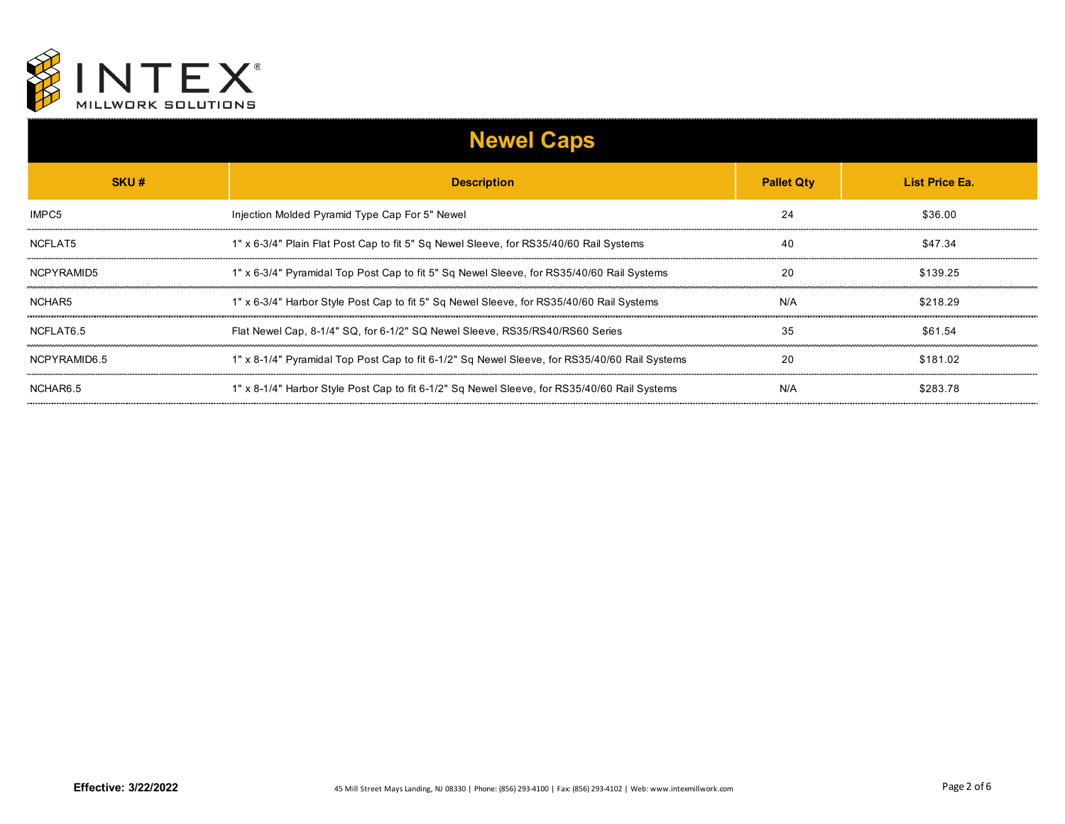

| <b>Newel Caps</b> |                                                                                               |                   |                |
|-------------------|-----------------------------------------------------------------------------------------------|-------------------|----------------|
| SKU#              | <b>Description</b>                                                                            | <b>Pallet Qty</b> | List Price Ea. |
| IMPC5             | Injection Molded Pyramid Type Cap For 5" Newel                                                | 24                | \$36.00        |
| NCFLAT5           | 1" x 6-3/4" Plain Flat Post Cap to fit 5" Sq Newel Sleeve, for RS35/40/60 Rail Systems        | 40                | \$47.34        |
| NCPYRAMID5        | 1" x 6-3/4" Pyramidal Top Post Cap to fit 5" Sq Newel Sleeve, for RS35/40/60 Rail Systems     | 20                | \$139.25       |
| NCHAR5            | 1" x 6-3/4" Harbor Style Post Cap to fit 5" Sq Newel Sleeve, for RS35/40/60 Rail Systems      | N/A               | \$218.29       |
| NCFLAT6.5         | Flat Newel Cap, 8-1/4" SQ, for 6-1/2" SQ Newel Sleeve, RS35/RS40/RS60 Series                  | 35                | \$61.54        |
| NCPYRAMID6.5      | 1" x 8-1/4" Pyramidal Top Post Cap to fit 6-1/2" Sq Newel Sleeve, for RS35/40/60 Rail Systems | 20                | \$181.02       |
| NCHAR6.5          | 1" x 8-1/4" Harbor Style Post Cap to fit 6-1/2" Sq Newel Sleeve, for RS35/40/60 Rail Systems  | N/A               | \$283.78       |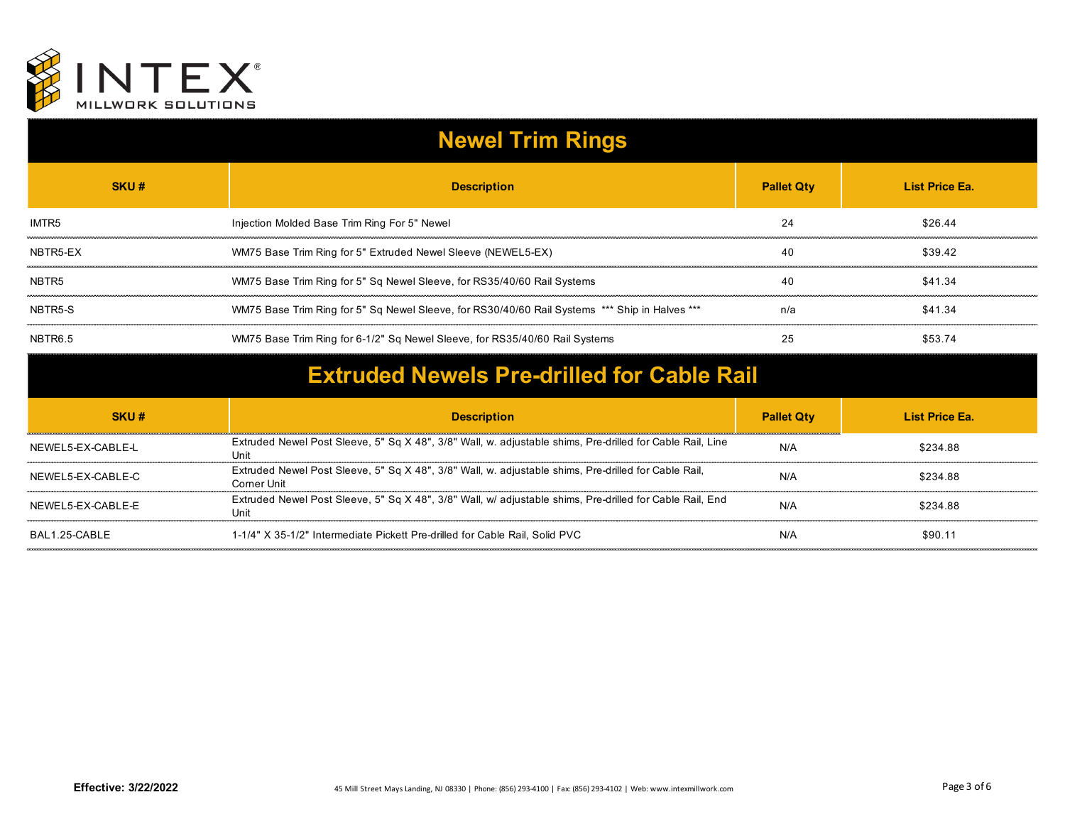

| <b>Newel Trim Rings</b> |                                                                                                                            |                   |                |
|-------------------------|----------------------------------------------------------------------------------------------------------------------------|-------------------|----------------|
| SKU#                    | <b>Description</b>                                                                                                         | <b>Pallet Qty</b> | List Price Ea. |
| IMTR <sub>5</sub>       | Injection Molded Base Trim Ring For 5" Newel                                                                               | 24                | \$26.44        |
| NBTR5-EX                | WM75 Base Trim Ring for 5" Extruded Newel Sleeve (NEWEL5-EX)                                                               | 40                | \$39.42        |
| NBTR <sub>5</sub>       | WM75 Base Trim Ring for 5" Sq Newel Sleeve, for RS35/40/60 Rail Systems                                                    | 40                | \$41.34        |
| NBTR5-S                 | WM75 Base Trim Ring for 5" Sq Newel Sleeve, for RS30/40/60 Rail Systems *** Ship in Halves ***                             | n/a               | \$41.34        |
| NBTR6.5                 | WM75 Base Trim Ring for 6-1/2" Sq Newel Sleeve, for RS35/40/60 Rail Systems                                                | 25                | \$53.74        |
|                         | <b>Extruded Newels Pre-drilled for Cable Rail</b>                                                                          |                   |                |
| SKU#                    | <b>Description</b>                                                                                                         | <b>Pallet Qty</b> | List Price Ea. |
| NEWEL5-EX-CABLE-L       | Extruded Newel Post Sleeve, 5" Sq X 48", 3/8" Wall, w. adjustable shims, Pre-drilled for Cable Rail, Line<br>Uni           | N/A               | \$234.88       |
| NEWEL5-EX-CABLE-C       | Extruded Newel Post Sleeve, 5" Sq X 48", 3/8" Wall, w. adjustable shims, Pre-drilled for Cable Rail,<br><b>Corner Unit</b> | N/A               | \$234.88       |
| NEWEL5-EX-CABLE-E       | Extruded Newel Post Sleeve, 5" Sq X 48", 3/8" Wall, w/ adjustable shims, Pre-drilled for Cable Rail, End<br>Unit           | N/A               | \$234.88       |
|                         |                                                                                                                            |                   |                |

BAL1.25-CABLE 1-1/4" X 35-1/2" Intermediate Pickett Pre-drilled for Cable Rail, Solid PVC N/A N/A \$90.11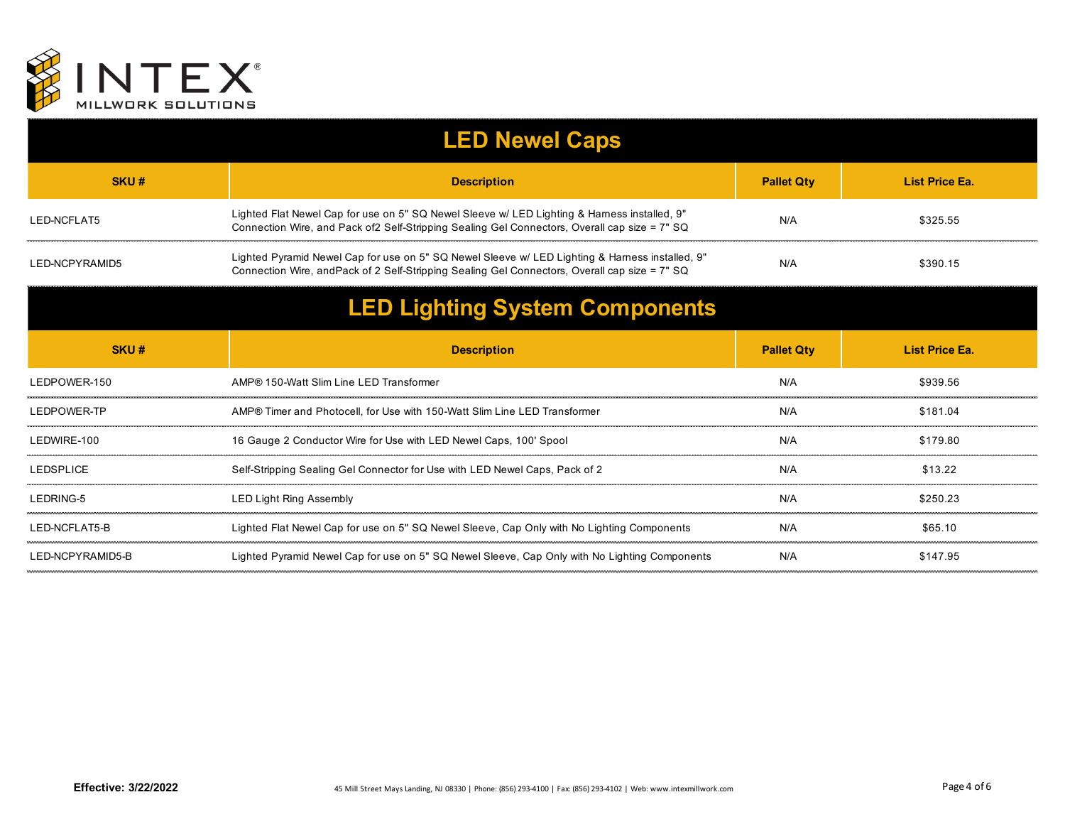

|                                       | <b>LED Newel Caps</b>                                                                                                                                                                            |                   |                       |
|---------------------------------------|--------------------------------------------------------------------------------------------------------------------------------------------------------------------------------------------------|-------------------|-----------------------|
| SKU#                                  | <b>Description</b>                                                                                                                                                                               | <b>Pallet Qty</b> | List Price Ea.        |
| LED-NCFLAT5                           | Lighted Flat Newel Cap for use on 5" SQ Newel Sleeve w/ LED Lighting & Harness installed, 9"<br>Connection Wire, and Pack of 2 Self-Stripping Sealing Gel Connectors, Overall cap size = 7" SQ   | N/A               | \$325.55              |
| LED-NCPYRAMID5                        | Lighted Pyramid Newel Cap for use on 5" SQ Newel Sleeve w/ LED Lighting & Hamess installed, 9"<br>Connection Wire, and Pack of 2 Self-Stripping Sealing Gel Connectors, Overall cap size = 7" SQ | N/A               | \$390.15              |
| <b>LED Lighting System Components</b> |                                                                                                                                                                                                  |                   |                       |
| SKU#                                  | <b>Description</b>                                                                                                                                                                               | <b>Pallet Qty</b> | <b>List Price Ea.</b> |
| LEDPOWER-150                          | AMP® 150-Watt Slim Line LED Transformer                                                                                                                                                          | N/A               | \$939.56              |
| LEDPOWER-TP                           | AMP® Timer and Photocell, for Use with 150-Watt Slim Line LED Transformer                                                                                                                        | N/A               | \$181.04              |
| I FDWIRF-100                          | 16 Gauge 2 Conductor Wire for Use with LED Newel Caps, 100' Spool                                                                                                                                | N/A               | \$179.80              |
| <b>LEDSPLICE</b>                      | Self-Stripping Sealing Gel Connector for Use with LED Newel Caps, Pack of 2                                                                                                                      | N/A               | \$13.22               |
| LEDRING-5                             | <b>LED Light Ring Assembly</b>                                                                                                                                                                   | N/A               | \$250.23              |
| LED-NCFLAT5-B                         | Lighted Flat Newel Cap for use on 5" SQ Newel Sleeve, Cap Only with No Lighting Components                                                                                                       | N/A               | \$65.10               |
| LED-NCPYRAMID5-B                      | Lighted Pyramid Newel Cap for use on 5" SQ Newel Sleeve, Cap Only with No Lighting Components                                                                                                    | N/A               | \$147.95              |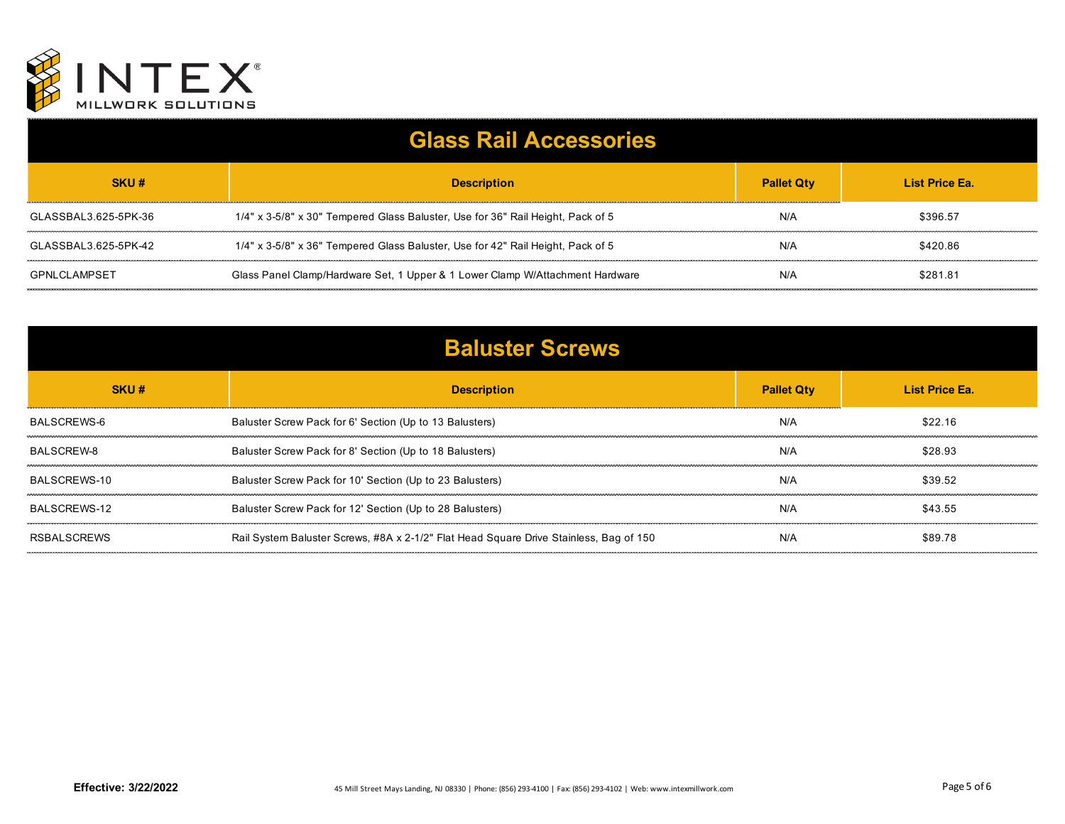

| <b>Glass Rail Accessories</b> |                                                                                 |                   |                |
|-------------------------------|---------------------------------------------------------------------------------|-------------------|----------------|
| SKU#                          | <b>Description</b>                                                              | <b>Pallet Qty</b> | List Price Ea. |
| GLASSBAL3.625-5PK-36          | 1/4" x 3-5/8" x 30" Tempered Glass Baluster, Use for 36" Rail Height, Pack of 5 | N/A               | \$396.57       |
| GLASSBAL3.625-5PK-42          | 1/4" x 3-5/8" x 36" Tempered Glass Baluster, Use for 42" Rail Height, Pack of 5 | N/A               | \$420.86       |
| GPNLCLAMPSET                  | Glass Panel Clamp/Hardware Set, 1 Upper & 1 Lower Clamp W/Attachment Hardware   | N/A               | \$281.81       |

| <b>Baluster Screws</b> |                                                                                        |                   |                |
|------------------------|----------------------------------------------------------------------------------------|-------------------|----------------|
| SKU#                   | <b>Description</b>                                                                     | <b>Pallet Qty</b> | List Price Ea. |
| BALSCREWS-6            | Baluster Screw Pack for 6' Section (Up to 13 Balusters)                                | N/A               | \$22.16        |
| BALSCREW-8             | Baluster Screw Pack for 8' Section (Up to 18 Balusters)                                | N/A               | \$28.93        |
| BALSCREWS-10           | Baluster Screw Pack for 10' Section (Up to 23 Balusters)                               | N/A               | \$39.52        |
| BALSCREWS-12           | Baluster Screw Pack for 12' Section (Up to 28 Balusters)                               | N/A               | \$43.55        |
| <b>RSBALSCREWS</b>     | Rail System Baluster Screws, #8A x 2-1/2" Flat Head Square Drive Stainless, Bag of 150 | N/A               | \$89.78        |